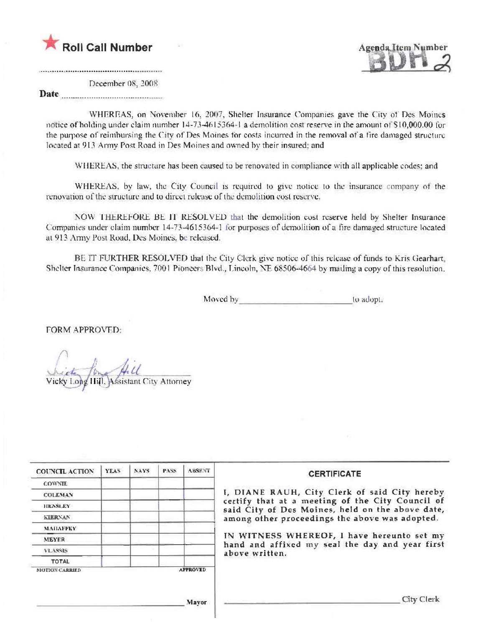



December 08, 2008

Date

WHEREAS, on November 16, 2007, Shelter Insurance Companies gave the City of Des Moines notice of holding under claim number 14-73-4615364-1 a demolition cost reserve in the amount of \$10,000.00 for the purpose of reimbursing the City of Des Moines for costs incurred in the removal of a fire damaged structure located at 913 Army Post Road in Des Moines and owned by their insured; and

WHEREAS, the structure has been caused to be renovated in compliance with all applicable codes: and

WHEREAS, by law, the City Council is required to give notice to the insurance company of the renovation of the structure and to direct release of the demolition cost reserve.

NOW THEREFORE BE IT RESOLVED that the demolition cost reserve held by Shelter Insurance Companies under claim number 14-73-4615364-1 for purposes of demolition of a fire damaged structure located at 913 Army Post Road, Des Moines, be released.

BE IT FURTHER RESOLVED that the City Clerk give notice of this release of funds to Kris Gearhart. Shelter Insurance Companies, 7001 Pioneers Blvd., Lincoln, NE 68506-4664 by mailing a copy of this resolution.

Moved by to adopt.

FORM APPROVED:

Wicky Long Hill, Assistant City Attorney

| <b>COUNCIL ACTION</b> | <b>YEAS</b> | <b>NAYS</b> | PASS | <b>ABSENT</b>   | <b>CERTIFICATE</b>                                                                                                                                                                                      |
|-----------------------|-------------|-------------|------|-----------------|---------------------------------------------------------------------------------------------------------------------------------------------------------------------------------------------------------|
| <b>COWNTE</b>         |             |             |      |                 |                                                                                                                                                                                                         |
| <b>COLEMAN</b>        |             |             |      |                 | I, DIANE RAUH, City Clerk of said City hereby<br>certify that at a meeting of the City Council of<br>said City of Des Moines, held on the above date,<br>among other proceedings the above was adopted. |
| HENSLEY               |             |             |      |                 |                                                                                                                                                                                                         |
| <b>KIERNAN</b>        |             |             |      |                 |                                                                                                                                                                                                         |
| <b>МАНАЕЕКҮ</b>       |             |             |      |                 |                                                                                                                                                                                                         |
| <b>MEYER</b>          |             |             |      |                 | IN WITNESS WHEREOF, I have hereunto set my<br>hand and affixed my seal the day and year first<br>above written.                                                                                         |
| <b>VLASSIS</b>        |             |             |      |                 |                                                                                                                                                                                                         |
| <b>TOTAL</b>          |             |             |      |                 |                                                                                                                                                                                                         |
| <b>MOTION CARRIED</b> |             |             |      | <b>AFPROVED</b> |                                                                                                                                                                                                         |
| Mayor                 |             |             |      |                 | <b>City Clerk</b>                                                                                                                                                                                       |